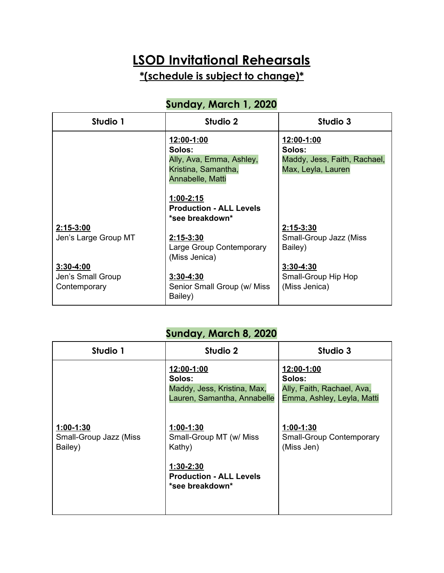# **LSOD Invitational Rehearsals**

**\*(schedule is subject to change)\***

#### **Sunday, March 1, 2020**

| Studio 1             | Studio 2                       | Studio 3                     |
|----------------------|--------------------------------|------------------------------|
|                      | 12:00-1:00                     | 12:00-1:00                   |
|                      | Solos:                         | Solos:                       |
|                      | Ally, Ava, Emma, Ashley,       | Maddy, Jess, Faith, Rachael, |
|                      | Kristina, Samantha,            | Max, Leyla, Lauren           |
|                      | Annabelle, Matti               |                              |
|                      |                                |                              |
|                      | $1:00 - 2:15$                  |                              |
|                      | <b>Production - ALL Levels</b> |                              |
|                      | *see breakdown*                |                              |
| $2:15-3:00$          |                                | $2:15-3:30$                  |
| Jen's Large Group MT | $2:15 - 3:30$                  | Small-Group Jazz (Miss       |
|                      | Large Group Contemporary       | Bailey)                      |
|                      | (Miss Jenica)                  |                              |
| $3:30 - 4:00$        |                                | $3:30 - 4:30$                |
| Jen's Small Group    | $3:30 - 4:30$                  | Small-Group Hip Hop          |
| Contemporary         | Senior Small Group (w/ Miss    | (Miss Jenica)                |
|                      | Bailey)                        |                              |

#### **Sunday, March 8, 2020**

| Studio 1                                         | Studio 2                                                                                          | Studio 3                                                                         |
|--------------------------------------------------|---------------------------------------------------------------------------------------------------|----------------------------------------------------------------------------------|
|                                                  | 12:00-1:00<br>Solos:<br>Maddy, Jess, Kristina, Max,<br>Lauren, Samantha, Annabelle                | 12:00-1:00<br>Solos:<br>Ally, Faith, Rachael, Ava,<br>Emma, Ashley, Leyla, Matti |
| $1:00-1:30$<br>Small-Group Jazz (Miss<br>Bailey) | $1:00-1:30$<br>Small-Group MT (w/ Miss<br>Kathy)<br>$1:30-2:30$<br><b>Production - ALL Levels</b> | $1:00-1:30$<br>Small-Group Contemporary<br>(Miss Jen)                            |
|                                                  | *see breakdown*                                                                                   |                                                                                  |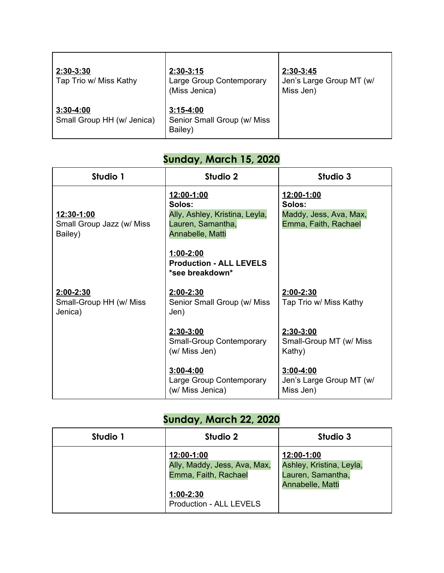| 2:30-3:30<br>Tap Trio w/ Miss Kathy       | $2:30-3:15$<br>Large Group Contemporary<br>(Miss Jenica) | $2:30-3:45$<br>Jen's Large Group MT (w/<br>Miss Jen) |
|-------------------------------------------|----------------------------------------------------------|------------------------------------------------------|
| $3:30-4:00$<br>Small Group HH (w/ Jenica) | $3:15-4:00$<br>Senior Small Group (w/ Miss<br>Bailey)    |                                                      |

## **Sunday, March 15, 2020**

| Studio 1                                           | Studio 2                                                                                        | Studio 3                                                               |
|----------------------------------------------------|-------------------------------------------------------------------------------------------------|------------------------------------------------------------------------|
| 12:30-1:00<br>Small Group Jazz (w/ Miss<br>Bailey) | 12:00-1:00<br>Solos:<br>Ally, Ashley, Kristina, Leyla,<br>Lauren, Samantha,<br>Annabelle, Matti | 12:00-1:00<br>Solos:<br>Maddy, Jess, Ava, Max,<br>Emma, Faith, Rachael |
|                                                    | $1:00-2:00$<br><b>Production - ALL LEVELS</b><br>*see breakdown*                                |                                                                        |
| 2:00-2:30<br>Small-Group HH (w/ Miss<br>Jenica)    | $2:00 - 2:30$<br>Senior Small Group (w/ Miss<br>Jen)                                            | $2:00 - 2:30$<br>Tap Trio w/ Miss Kathy                                |
|                                                    | 2:30-3:00<br><b>Small-Group Contemporary</b><br>(w/ Miss Jen)                                   | 2:30-3:00<br>Small-Group MT (w/ Miss<br>Kathy)                         |
|                                                    | $3:00 - 4:00$<br>Large Group Contemporary<br>(w/ Miss Jenica)                                   | $3:00 - 4:00$<br>Jen's Large Group MT (w/<br>Miss Jen)                 |

### **Sunday, March 22, 2020**

| Studio 1 | Studio 2                                                                                                            | Studio 3                                                                        |
|----------|---------------------------------------------------------------------------------------------------------------------|---------------------------------------------------------------------------------|
|          | 12:00-1:00<br>Ally, Maddy, Jess, Ava, Max,<br>Emma, Faith, Rachael<br>$1:00-2:30$<br><b>Production - ALL LEVELS</b> | 12:00-1:00<br>Ashley, Kristina, Leyla,<br>Lauren, Samantha,<br>Annabelle, Matti |